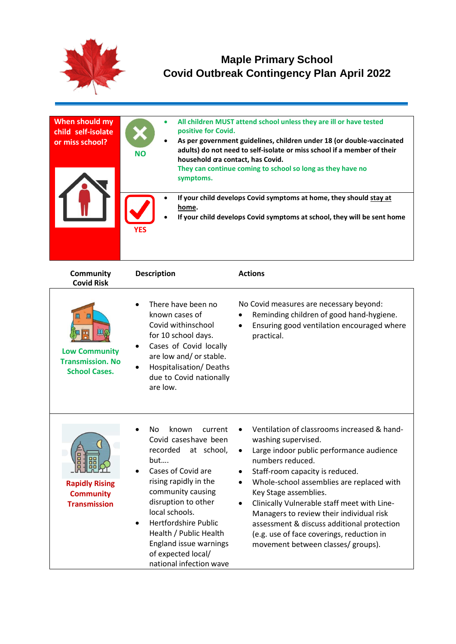

## **Maple Primary School Covid Outbreak Contingency Plan April 2022**

| When should my<br>child self-isolate<br>or miss school? | ۰<br>$\bullet$<br><b>NO</b> | All children MUST attend school unless they are ill or have tested<br>positive for Covid.<br>As per government guidelines, children under 18 (or double-vaccinated<br>adults) do not need to self-isolate or miss school if a member of their<br>household ara contact, has Covid.<br>They can continue coming to school so long as they have no<br>symptoms. |
|---------------------------------------------------------|-----------------------------|---------------------------------------------------------------------------------------------------------------------------------------------------------------------------------------------------------------------------------------------------------------------------------------------------------------------------------------------------------------|
|                                                         | <b>YES</b>                  | If your child develops Covid symptoms at home, they should stay at<br>home.<br>If your child develops Covid symptoms at school, they will be sent home                                                                                                                                                                                                        |

| Community<br><b>Covid Risk</b>                                                    | <b>Description</b>                                                                                                                                                                                                                                                                                                                                    | <b>Actions</b>                                                                                                                                                                                                                                                                                                                                                                                                                                                                                    |
|-----------------------------------------------------------------------------------|-------------------------------------------------------------------------------------------------------------------------------------------------------------------------------------------------------------------------------------------------------------------------------------------------------------------------------------------------------|---------------------------------------------------------------------------------------------------------------------------------------------------------------------------------------------------------------------------------------------------------------------------------------------------------------------------------------------------------------------------------------------------------------------------------------------------------------------------------------------------|
| Щ<br>Щ<br><b>Low Community</b><br><b>Transmission. No</b><br><b>School Cases.</b> | There have been no<br>known cases of<br>Covid withinschool<br>for 10 school days.<br>Cases of Covid locally<br>are low and/ or stable.<br>Hospitalisation/Deaths<br>due to Covid nationally<br>are low.                                                                                                                                               | No Covid measures are necessary beyond:<br>Reminding children of good hand-hygiene.<br>Ensuring good ventilation encouraged where<br>$\bullet$<br>practical.                                                                                                                                                                                                                                                                                                                                      |
| <b>Rapidly Rising</b><br><b>Community</b><br><b>Transmission</b>                  | known<br>No.<br>current<br>Covid caseshave been<br>recorded<br>at school,<br>but<br>Cases of Covid are<br>rising rapidly in the<br>community causing<br>disruption to other<br>local schools.<br><b>Hertfordshire Public</b><br>$\bullet$<br>Health / Public Health<br><b>England issue warnings</b><br>of expected local/<br>national infection wave | Ventilation of classrooms increased & hand-<br>washing supervised.<br>Large indoor public performance audience<br>$\bullet$<br>numbers reduced.<br>Staff-room capacity is reduced.<br>Whole-school assemblies are replaced with<br>$\bullet$<br>Key Stage assemblies.<br>Clinically Vulnerable staff meet with Line-<br>Managers to review their individual risk<br>assessment & discuss additional protection<br>(e.g. use of face coverings, reduction in<br>movement between classes/ groups). |